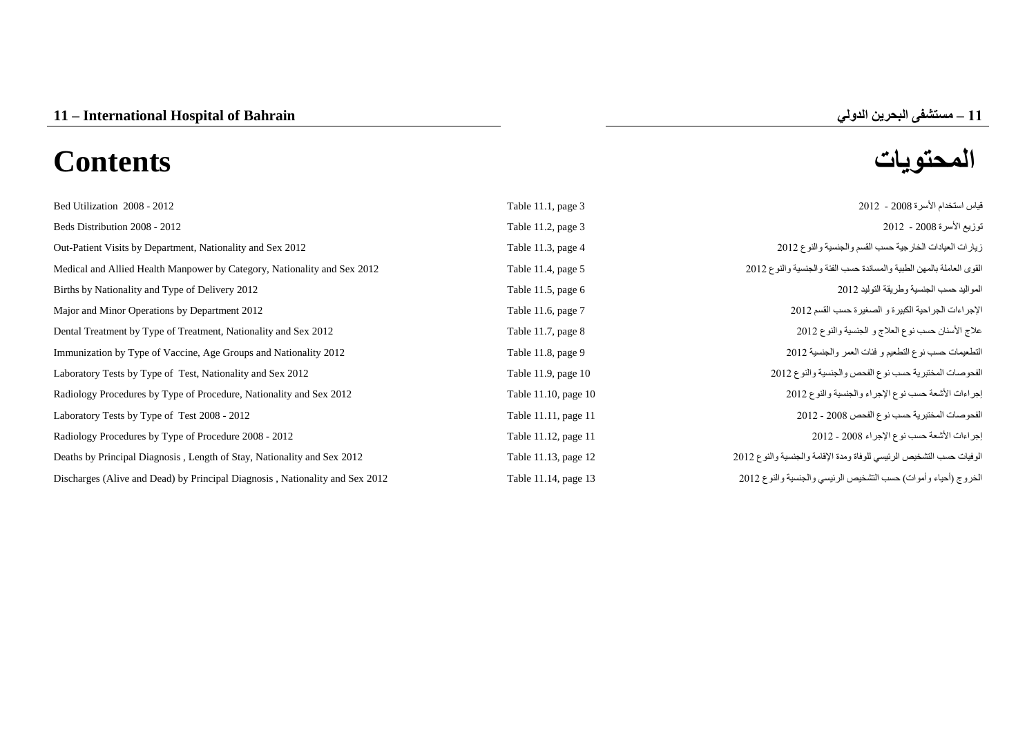# **المحتويات Contents**

| Bed Utilization 2008 - 2012                                                  | Table 11.1, page 3   | قياس استخدام الأسرة 2008 - 2012                                      |
|------------------------------------------------------------------------------|----------------------|----------------------------------------------------------------------|
| Beds Distribution 2008 - 2012                                                | Table 11.2, page 3   | توزيع الأسرة 2008 - 2012                                             |
| Out-Patient Visits by Department, Nationality and Sex 2012                   | Table 11.3, page 4   | زيارات العيادات الخارجية حسب القسم والجنسية والنوع 2012              |
| Medical and Allied Health Manpower by Category, Nationality and Sex 2012     | Table 11.4, page 5   | القوى العاملة بالمهن الطبية والمساندة حسب الفئة والجنسية والنوع 2012 |
| Births by Nationality and Type of Delivery 2012                              | Table 11.5, page 6   | المواليد حسب الجنسية وطريقة التوليد 2012                             |
| Major and Minor Operations by Department 2012                                | Table 11.6, page 7   | الإجراءات الجراحية الكبيرة و الصغيرة حسب القسم 2012                  |
| Dental Treatment by Type of Treatment, Nationality and Sex 2012              | Table 11.7, page 8   | علاج الأسنان حسب نوع العلاج و الجنسية والنوع 2012                    |
| Immunization by Type of Vaccine, Age Groups and Nationality 2012             | Table 11.8, page 9   | التطعيمات حسب نوع التطعيم و فئات العمر والجنسية 2012                 |
| Laboratory Tests by Type of Test, Nationality and Sex 2012                   | Table 11.9, page 10  | الفحوصات المختبرية حسب نوع الفحص والجنسية والنوع 2012                |
| Radiology Procedures by Type of Procedure, Nationality and Sex 2012          | Table 11.10, page 10 | إجراءات الأشعة حسب نوع الإجراء والجنسية والنوع 2012                  |
| Laboratory Tests by Type of Test 2008 - 2012                                 | Table 11.11, page 11 | الفحوصات المختبرية حسب نوع الفحص 2008 - 2012                         |
| Radiology Procedures by Type of Procedure 2008 - 2012                        | Table 11.12, page 11 | إجراءات الأشعة حسب نوع الإجراء 2008 - 2012                           |
| Deaths by Principal Diagnosis, Length of Stay, Nationality and Sex 2012      | Table 11.13, page 12 | الوفيات حسب التشخيص الرئيسي للوفاة ومدة الإقامة والجنسية والنوع 2012 |
| Discharges (Alive and Dead) by Principal Diagnosis, Nationality and Sex 2012 | Table 11.14, page 13 | الخروج (أحياء وأموات) حسب التشخيص الرئيسي والجنسية والنوع 2012       |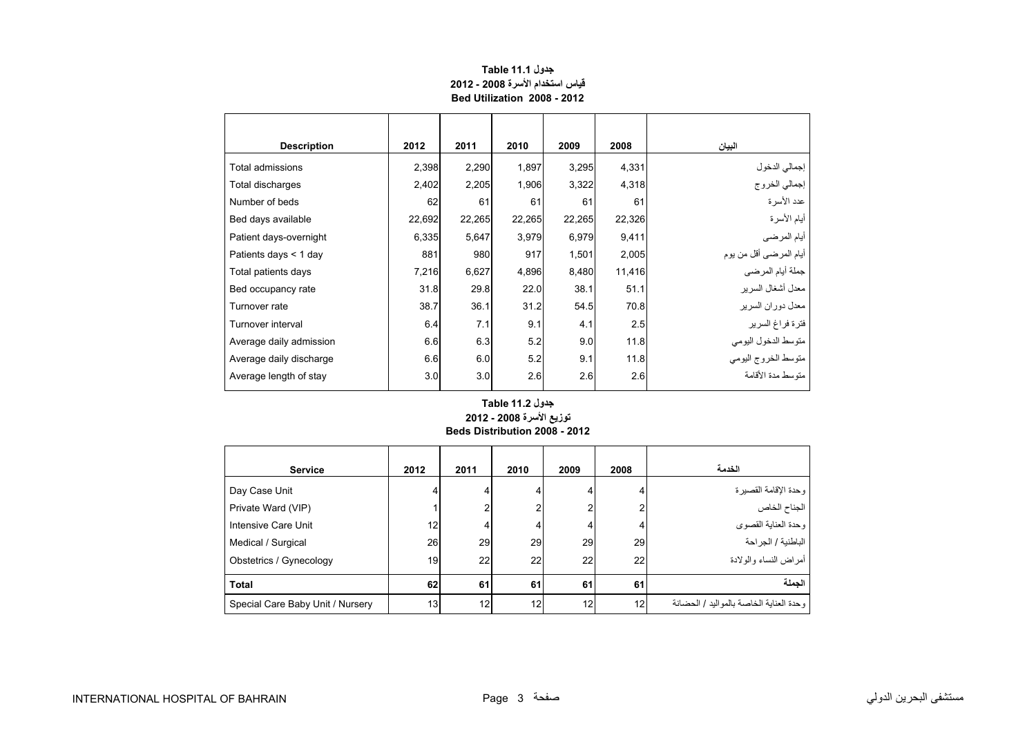<span id="page-1-0"></span>

| <b>Description</b>      | 2012   | 2011   | 2010   | 2009   | 2008   | البيان                         |
|-------------------------|--------|--------|--------|--------|--------|--------------------------------|
| Total admissions        | 2,398  | 2,290  | 1,897  | 3,295  | 4,331  |                                |
| Total discharges        | 2,402  | 2,205  | 1,906  | 3,322  | 4,318  | إجمالي الدخول<br>إجمالي الخروج |
| Number of beds          | 62     | 61     | 61     | 61     | 61     | عدد الأسرة                     |
| Bed days available      | 22,692 | 22,265 | 22,265 | 22,265 | 22,326 | أيام الأسرة                    |
| Patient days-overnight  | 6,335  | 5,647  | 3,979  | 6,979  | 9,411  | أيام المرضى                    |
| Patients days < 1 day   | 881    | 980    | 917    | 1,501  | 2,005  | أيام المرضىي أقل من يوم        |
| Total patients days     | 7,216  | 6,627  | 4,896  | 8,480  | 11,416 | جملة أيام المرضى               |
| Bed occupancy rate      | 31.8   | 29.8   | 22.0   | 38.1   | 51.1   | معدل أشغال السرير              |
| Turnover rate           | 38.7   | 36.1   | 31.2   | 54.5   | 70.8   | معدل دور ان السر بر            |
| Turnover interval       | 6.4    | 7.1    | 9.1    | 4.1    | 2.5    | فترة فراغ السرير               |
| Average daily admission | 6.6    | 6.3    | 5.2    | 9.0    | 11.8   | متوسط الدخول اليومي            |
| Average daily discharge | 6.6    | 6.0    | 5.2    | 9.1    | 11.8   | متوسط الخروج اليومي            |
| Average length of stay  | 3.0    | 3.0    | 2.6    | 2.6    | 2.6    | متوسط مدة الأقامة              |

#### **جدول 11.1 Table قياس استخدام األسرة 2008 - 2012 Bed Utilization 2008 - 2012**

#### **Beds Distribution 2008 - 2012 جدول 11.2 Table توزيع األسرة 2008 - 2012**

| <b>Service</b>                   | 2012            | 2011 | 2010           | 2009 | 2008 | الخدمة                                  |
|----------------------------------|-----------------|------|----------------|------|------|-----------------------------------------|
| Day Case Unit                    |                 |      | 4              | 4    |      | وحدة الإقامة القصيرة                    |
| Private Ward (VIP)               |                 |      | $\overline{2}$ | 2    |      | الجناح الخاص                            |
| Intensive Care Unit              | 12              |      | 4              | 4    |      | وحدة العناية القصوى                     |
| Medical / Surgical               | 26              | 29   | 29             | 29   | 29   | الباطنية / الجراحة                      |
| Obstetrics / Gynecology          | 19              | 22   | 22             | 22   | 22   | أمراض النساء والولادة                   |
| <b>Total</b>                     | 62              | 61   | 61             | 61   | 61   | الحملة                                  |
| Special Care Baby Unit / Nursery | 13 <sub>1</sub> | 12   | 12             | 12   | 12   | وحدة العناية الخاصة بالمواليد / الحضانة |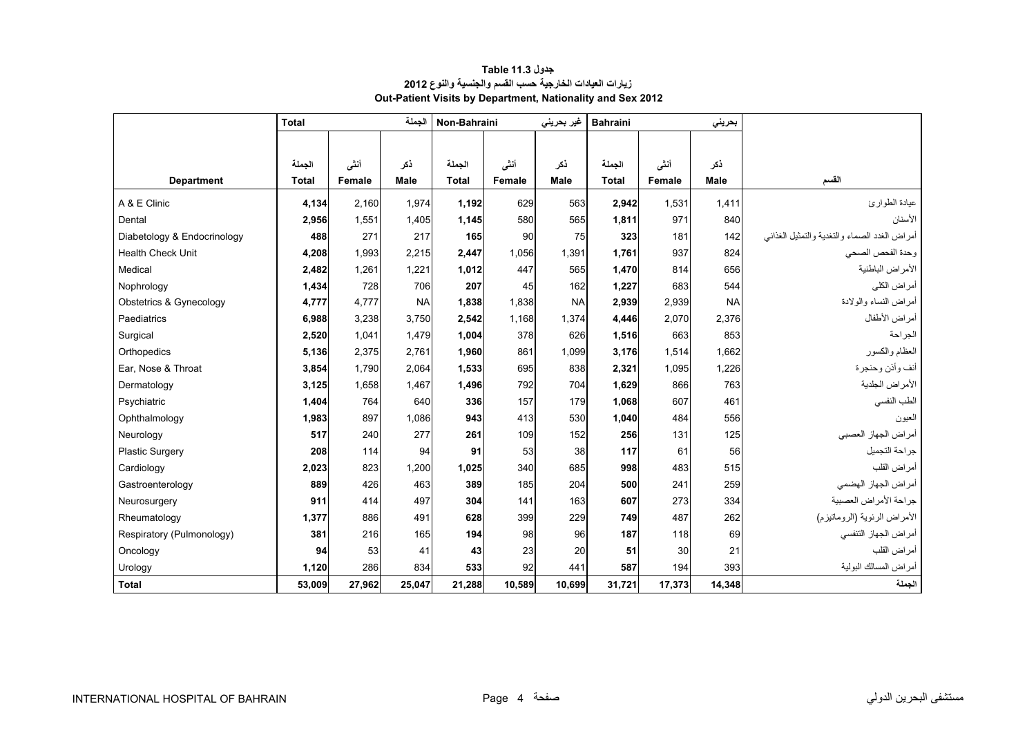<span id="page-2-0"></span>

|                             | <b>Total</b> |        |           |              |        | غير بحرين <i>ي</i> | <b>Bahraini</b> |        | بحريني    |                                              |
|-----------------------------|--------------|--------|-----------|--------------|--------|--------------------|-----------------|--------|-----------|----------------------------------------------|
|                             |              |        |           |              |        |                    |                 |        |           |                                              |
|                             | الجملة       | أننى   | ذكر       | الجملة       | أنشى   | ذكر                | الجملة          | أنشى   | ذكر       |                                              |
| <b>Department</b>           | <b>Total</b> | Female | Male      | <b>Total</b> | Female | Male               | <b>Total</b>    | Female | Male      | القسم                                        |
|                             |              |        |           |              |        |                    |                 |        |           |                                              |
| A & E Clinic                | 4,134        | 2,160  | 1,974     | 1,192        | 629    | 563                | 2,942           | 1,531  | 1,411     | عيادة الطوارئ                                |
| Dental                      | 2,956        | 1,551  | 1,405     | 1,145        | 580    | 565                | 1,811           | 971    | 840       | الأسنان                                      |
| Diabetology & Endocrinology | 488          | 271    | 217       | 165          | 90     | 75                 | 323             | 181    | 142       | أمراض الغدد الصماء والتغدية والتمثيل الغذائي |
| <b>Health Check Unit</b>    | 4,208        | 1,993  | 2,215     | 2,447        | 1,056  | 1,391              | 1,761           | 937    | 824       | وحدة الفحص الصحى                             |
| Medical                     | 2,482        | 1,261  | 1,221     | 1,012        | 447    | 565                | 1,470           | 814    | 656       | الأمراض الباطنية                             |
| Nophrology                  | 1,434        | 728    | 706       | 207          | 45     | 162                | 1,227           | 683    | 544       | أمراض الكلي                                  |
| Obstetrics & Gynecology     | 4,777        | 4.777  | <b>NA</b> | 1.838        | 1.838  | <b>NA</b>          | 2,939           | 2,939  | <b>NA</b> | أمراض النساء والولادة                        |
| Paediatrics                 | 6,988        | 3,238  | 3,750     | 2,542        | 1,168  | 1,374              | 4,446           | 2,070  | 2,376     | أمراض الأطفال                                |
| Surgical                    | 2,520        | 1.041  | 1,479     | 1.004        | 378    | 626                | 1,516           | 663    | 853       | الجر احة                                     |
| Orthopedics                 | 5,136        | 2,375  | 2,761     | 1,960        | 861    | 1,099              | 3,176           | 1,514  | 1.662     | العظام والكسور                               |
| Ear, Nose & Throat          | 3,854        | 1,790  | 2,064     | 1,533        | 695    | 838                | 2,321           | 1,095  | 1,226     | أنف وأذن وحنجرة                              |
| Dermatology                 | 3,125        | 1,658  | 1,467     | 1,496        | 792    | 704                | 1,629           | 866    | 763       | الأمراض الجلدية                              |
| Psychiatric                 | 1,404        | 764    | 640       | 336          | 157    | 179                | 1.068           | 607    | 461       | الطب النفسي                                  |
| Ophthalmology               | 1,983        | 897    | 1,086     | 943          | 413    | 530                | 1,040           | 484    | 556       | العيون                                       |
| Neurology                   | 517          | 240    | 277       | 261          | 109    | 152                | 256             | 131    | 125       | أمراض الجهاز العصبي                          |
| <b>Plastic Surgery</b>      | 208          | 114    | 94        | 91           | 53     | 38                 | 117             | 61     | 56        | جراحة التجميل                                |
| Cardiology                  | 2,023        | 823    | 1,200     | 1.025        | 340    | 685                | 998             | 483    | 515       | أمراض القلب                                  |
| Gastroenterology            | 889          | 426    | 463       | 389          | 185    | 204                | 500             | 241    | 259       | أمراض الجهاز الهضمى                          |
| Neurosurgery                | 911          | 414    | 497       | 304          | 141    | 163                | 607             | 273    | 334       | جراحة الأمراض العصبية                        |
| Rheumatology                | 1,377        | 886    | 491       | 628          | 399    | 229                | 749             | 487    | 262       | الأمراض الرئوية (الروماتيزم)                 |
| Respiratory (Pulmonology)   | 381          | 216    | 165       | 194          | 98     | 96                 | 187             | 118    | 69        | أمراض الجهاز التنفسي                         |
| Oncology                    | 94           | 53     | 41        | 43           | 23     | 20                 | 51              | 30     | 21        | أمراض القلب                                  |
| Urology                     | 1.120        | 286    | 834       | 533          | 92     | 441                | 587             | 194    | 393       | أمراض المسالك البولية                        |
| <b>Total</b>                | 53,009       | 27,962 | 25,047    | 21,288       | 10,589 | 10,699             | 31,721          | 17,373 | 14,348    | الجملة                                       |

#### **جدول 11.3 Table زيارات العيادات الخارجية حسب القسم والجنسية والنوع <sup>2012</sup> Out-Patient Visits by Department, Nationality and Sex 2012**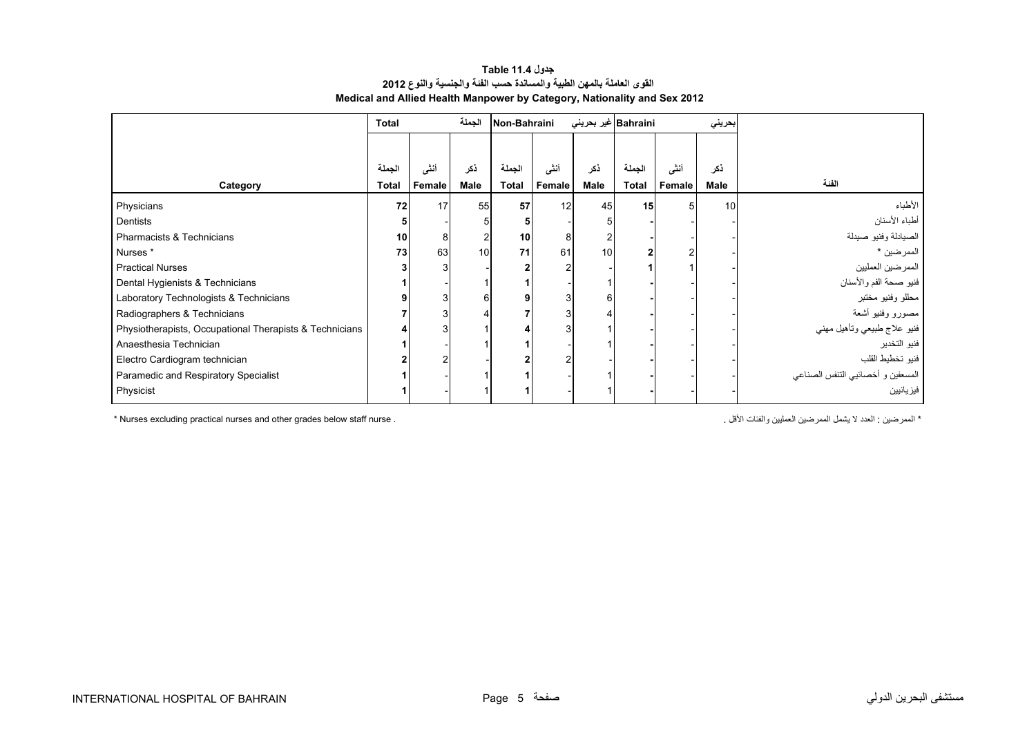#### **جدول 11.4 Table القوى العاملة بالمھن الطبية والمساندة حسب الفئة والجنسية والنوع <sup>2012</sup> Medical and Allied Health Manpower by Category, Nationality and Sex 2012**

<span id="page-3-0"></span>

|                                                         | <b>Total</b> |        | الجملة      | Non-Bahraini    |        | Bahraini غیر بحرینی |              |        | بحريني |                                   |
|---------------------------------------------------------|--------------|--------|-------------|-----------------|--------|---------------------|--------------|--------|--------|-----------------------------------|
|                                                         |              |        |             |                 |        |                     |              |        |        |                                   |
|                                                         | الجملة       | أننى   | ذكر         | الجملة          | أنشى   | ذكر                 | الجملة       | أنشى   | ذكر    | الفئة                             |
| Category                                                | <b>Total</b> | Female | <b>Male</b> | <b>Total</b>    | Female | Male                | <b>Total</b> | Female | Male   |                                   |
| Physicians                                              | 72           | 17     | 55          | 57              | 12     | 45                  | 15           |        | 10     | الأطباء                           |
| Dentists                                                |              |        | 5           |                 |        |                     |              |        |        | أطباء الأسنان                     |
| Pharmacists & Technicians                               | 10           | 8      | 2           | 10 <sub>1</sub> | 8      |                     |              |        |        | الصيادلة وفنيو صيدلة              |
| Nurses <sup>*</sup>                                     | 73           | 63     | 10          | 71              | 61     | 10                  |              |        |        | الممرضين *                        |
| <b>Practical Nurses</b>                                 |              |        |             |                 | 2      |                     |              |        |        | الممرضين العمليين                 |
| Dental Hygienists & Technicians                         |              |        |             |                 |        |                     |              |        |        | فنيو صحة الفم والأسنان            |
| Laboratory Technologists & Technicians                  |              |        | 6           | 9               | 3      | 6                   |              |        |        | محللو وفنيو مختبر                 |
| Radiographers & Technicians                             |              |        | 4           |                 | 3      |                     |              |        |        | مصورو وفنيو أشعة                  |
| Physiotherapists, Occupational Therapists & Technicians |              |        |             |                 | 3      |                     |              |        |        | فنيو علاج طبيعي وتأهيل مهني       |
| Anaesthesia Technician                                  |              |        |             |                 |        |                     |              |        |        | فنيو التخدير                      |
| Electro Cardiogram technician                           |              | っ      |             |                 | 2      |                     |              |        |        | فنيو تخطيط القلب                  |
| Paramedic and Respiratory Specialist                    |              |        |             |                 |        |                     |              |        |        | المسعفين و أخصائيي التنفس الصناعي |
| Physicist                                               |              |        |             |                 |        |                     |              |        |        | فيز يائيين                        |

\* Nurses excluding practical nurses and other grades below staff nurse . . األقل والفئات العمليين الممرضين يشمل ال العدد : الممرضين\*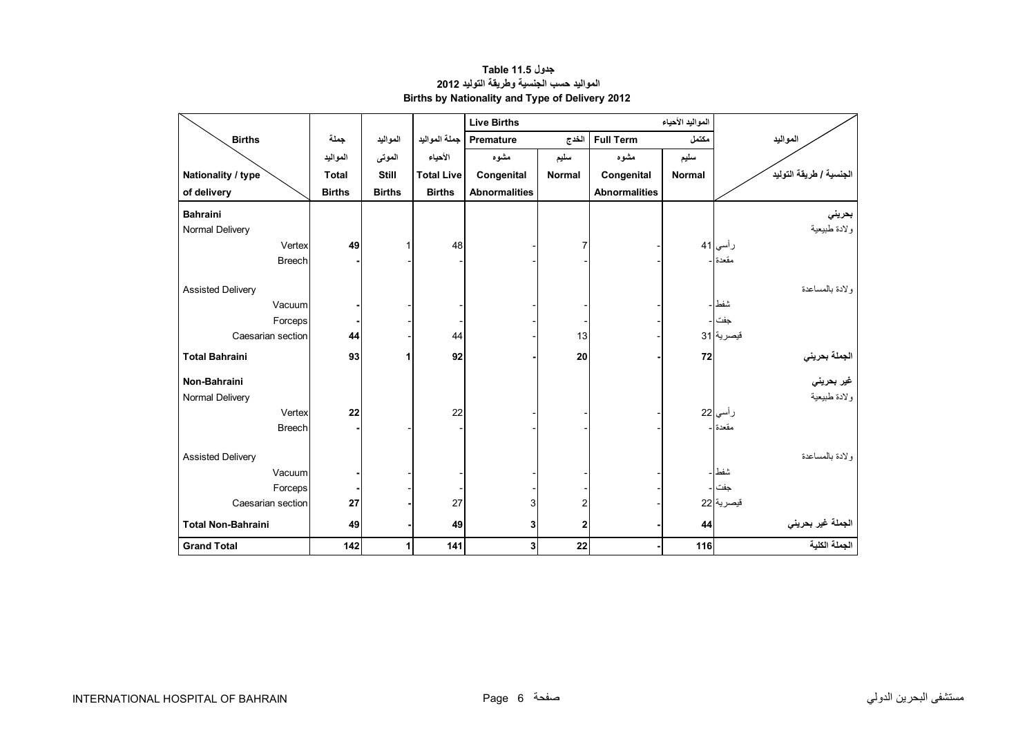<span id="page-4-0"></span>

|                           |               |               |                   | <b>Live Births</b>          |                | المواليد الأحياء     |               |                         |
|---------------------------|---------------|---------------|-------------------|-----------------------------|----------------|----------------------|---------------|-------------------------|
| <b>Births</b>             | جملة          | المواليد      | جملة المواليد     | Premature                   | الخدج          | <b>Full Term</b>     | مكتمل         | المواليد                |
|                           | المواليد      | الموتى        | الأحياء           | مشوه                        | سليم           | مشوه                 | سليم          |                         |
| Nationality / type        | <b>Total</b>  | <b>Still</b>  | <b>Total Live</b> | Congenital<br><b>Normal</b> |                | Congenital           | <b>Normal</b> | الجنسية / طريقة التوليد |
| of delivery               | <b>Births</b> | <b>Births</b> | <b>Births</b>     | <b>Abnormalities</b>        |                | <b>Abnormalities</b> |               |                         |
| <b>Bahraini</b>           |               |               |                   |                             |                |                      |               | بحريني                  |
| Normal Delivery           |               |               |                   |                             |                |                      |               | ولادة طبيعية            |
| Vertex                    | 49            | 1             | 48                |                             |                |                      |               | رأسي 41                 |
| <b>Breech</b>             |               |               |                   |                             |                |                      |               | مقعدة -                 |
| <b>Assisted Delivery</b>  |               |               |                   |                             |                |                      |               | ولادة بالمساعدة         |
| Vacuum                    |               |               |                   |                             |                |                      |               | شفط                     |
| Forceps                   |               |               |                   |                             |                |                      |               | جفت                     |
| Caesarian section         | 44            |               | 44                |                             | 13             |                      |               | قيصرية 31               |
| <b>Total Bahraini</b>     | 93            | 1             | 92                |                             | 20             |                      | 72            | الجملة بحريني           |
| Non-Bahraini              |               |               |                   |                             |                |                      |               | غير بحرين <i>ي</i>      |
| Normal Delivery           |               |               |                   |                             |                |                      |               | ولادة طبيعية            |
| Vertex                    | 22            |               | 22                |                             |                |                      |               | ر أسي <mark>22</mark>   |
| <b>Breech</b>             |               |               |                   |                             |                |                      |               | مقعدة ا-                |
| <b>Assisted Delivery</b>  |               |               |                   |                             |                |                      |               | ولادة بالمساعدة         |
| Vacuum                    |               |               |                   |                             |                |                      |               | شفط                     |
| Forceps                   |               |               |                   |                             |                |                      |               | جفت ا ۔                 |
| Caesarian section         | 27            |               | 27                | 3                           | $\overline{2}$ |                      |               | قيصرية 22               |
| <b>Total Non-Bahraini</b> | 49            |               | 49                | 3                           | $\mathbf{2}$   |                      | 44            | الجملة غير بحريني       |
| <b>Grand Total</b>        | 142           | 1             | 141               | 3                           | 22             |                      | 116           | الجملة الكلية           |

#### **جدول 11.5 Table المواليد حسب الجنسية وطريقة التوليد <sup>2012</sup> Births by Nationality and Type of Delivery 2012**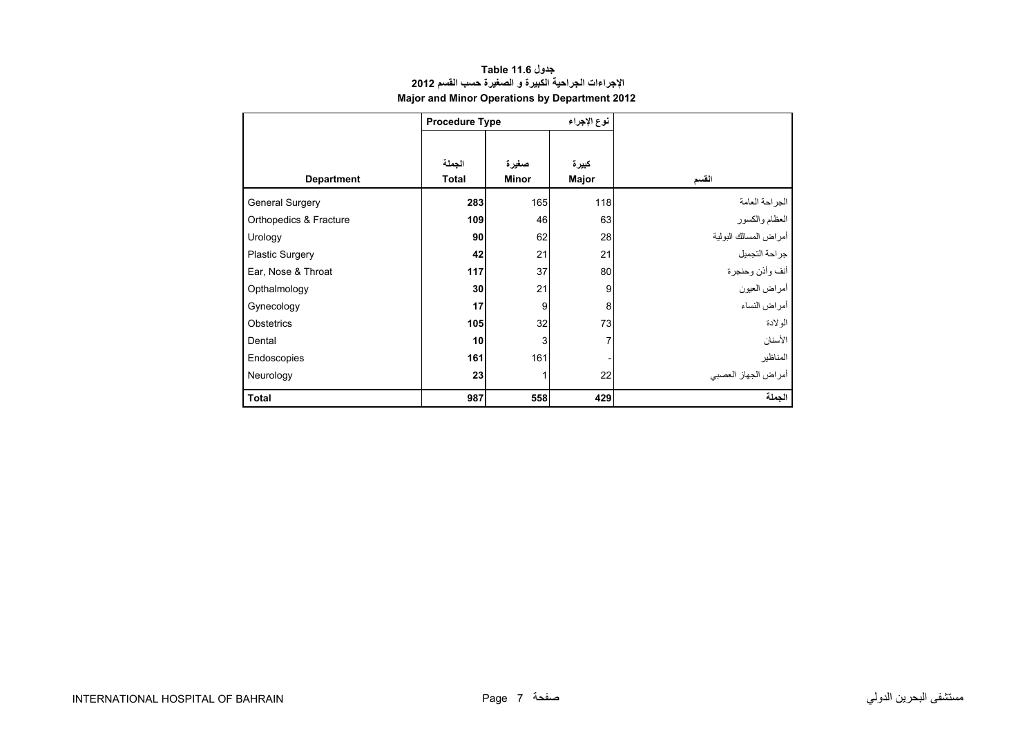<span id="page-5-0"></span>

| Major and Minor Operations by Department 2012 |                        |                       |                |                       |  |  |  |  |  |  |  |
|-----------------------------------------------|------------------------|-----------------------|----------------|-----------------------|--|--|--|--|--|--|--|
|                                               | <b>Procedure Type</b>  |                       | نوع الإجراء    |                       |  |  |  |  |  |  |  |
| <b>Department</b>                             | الجملة<br><b>Total</b> | صغيرة<br><b>Minor</b> | كبيرة<br>Major | القسم                 |  |  |  |  |  |  |  |
| <b>General Surgery</b>                        | 283                    | 165                   | 118            | الجراحة العامة        |  |  |  |  |  |  |  |
| Orthopedics & Fracture                        | 109                    | 46                    | 63             | العظام والكسور        |  |  |  |  |  |  |  |
| Urology                                       | 90                     | 62                    | 28             | أمراض المسالك البولية |  |  |  |  |  |  |  |
| <b>Plastic Surgery</b>                        | 42                     | 21                    | 21             | جراحة التجميل         |  |  |  |  |  |  |  |
| Ear, Nose & Throat                            | 117                    | 37                    | 80             | أنف وأذن وحنجرة       |  |  |  |  |  |  |  |
| Opthalmology                                  | 30                     | 21                    | 9              | أمراض العيون          |  |  |  |  |  |  |  |
| Gynecology                                    | 17                     | 9                     | 8              | أمراض النساء          |  |  |  |  |  |  |  |
| Obstetrics                                    | 105                    | 32                    | 73             | الولادة               |  |  |  |  |  |  |  |
| Dental                                        | 10                     | 3                     | 7              | الأسنان               |  |  |  |  |  |  |  |
| Endoscopies                                   | 161                    | 161                   |                | المناظير              |  |  |  |  |  |  |  |
| Neurology                                     | 23                     |                       | 22             | أمراض الجهاز العصبي   |  |  |  |  |  |  |  |
| Total                                         | 987                    | 558                   | 429            | الجملة                |  |  |  |  |  |  |  |

### **جدول 11.6 Table اإلجراءات الجراحية الكبيرة <sup>و</sup> الصغيرة حسب القسم <sup>2012</sup>**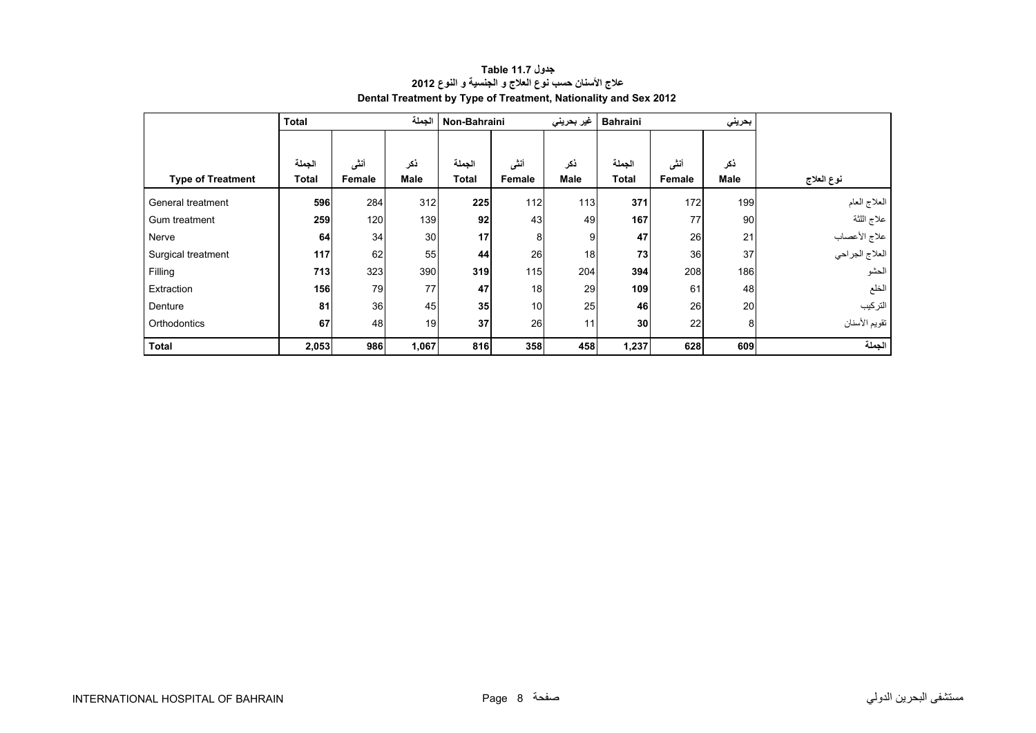<span id="page-6-0"></span>

|                          | <b>Total</b> |        | الجملة      | Non-Bahraini |        | غير بحريني  | <b>Bahraini</b> |               | بحريني      |                                |
|--------------------------|--------------|--------|-------------|--------------|--------|-------------|-----------------|---------------|-------------|--------------------------------|
|                          |              |        |             |              |        |             |                 |               |             |                                |
|                          | الجملة       | أنشى   | ذكر         | الجملة       | أننى   | نكر         | الجملة          | أنشى          | نكر         |                                |
| <b>Type of Treatment</b> | <b>Total</b> | Female | <b>Male</b> | <b>Total</b> | Female | <b>Male</b> | <b>Total</b>    | <b>Female</b> | <b>Male</b> | نوع العلاج                     |
| General treatment        | 596          | 284    | 312         | 225          | 112    | 113         | 371             | 172           | 199         | العلاج العام                   |
| Gum treatment            | 259          | 120    | 139         | 92           | 43     | 49          | 167             | 77            | 90          | علاج اللثة                     |
| Nerve                    | 64           | 34     | 30          | 17           | 8      | 9           | 47              | 26            | 21          |                                |
| Surgical treatment       | 117          | 62     | 55          | 44           | 26     | 18          | 73              | 36            | 37          | علاج الأعصاب<br>العلاج الجراحي |
| Filling                  | 713          | 323    | 390         | 319          | 115    | 204         | 394             | 208           | 186         | الحشو                          |
| Extraction               | 156          | 79     | 77          | 47           | 18     | 29          | 109             | 61            | 48          | الخلع                          |
| Denture                  | 81           | 36     | 45          | 35           | 10     | 25          | 46              | 26            | 20          | التركيب                        |
| Orthodontics             | 67           | 48     | 19          | 37           | 26     | 11          | 30              | 22            | 8           | تقويم الأسنان                  |
| <b>Total</b>             | 2,053        | 986    | 1,067       | 816          | 358    | 458         | 1,237           | 628           | 609         | الجملة                         |

#### **جدول 11.7 Table عالج األسنان حسب نوع العالج <sup>و</sup> الجنسية <sup>و</sup> النوع <sup>2012</sup> Dental Treatment by Type of Treatment, Nationality and Sex 2012**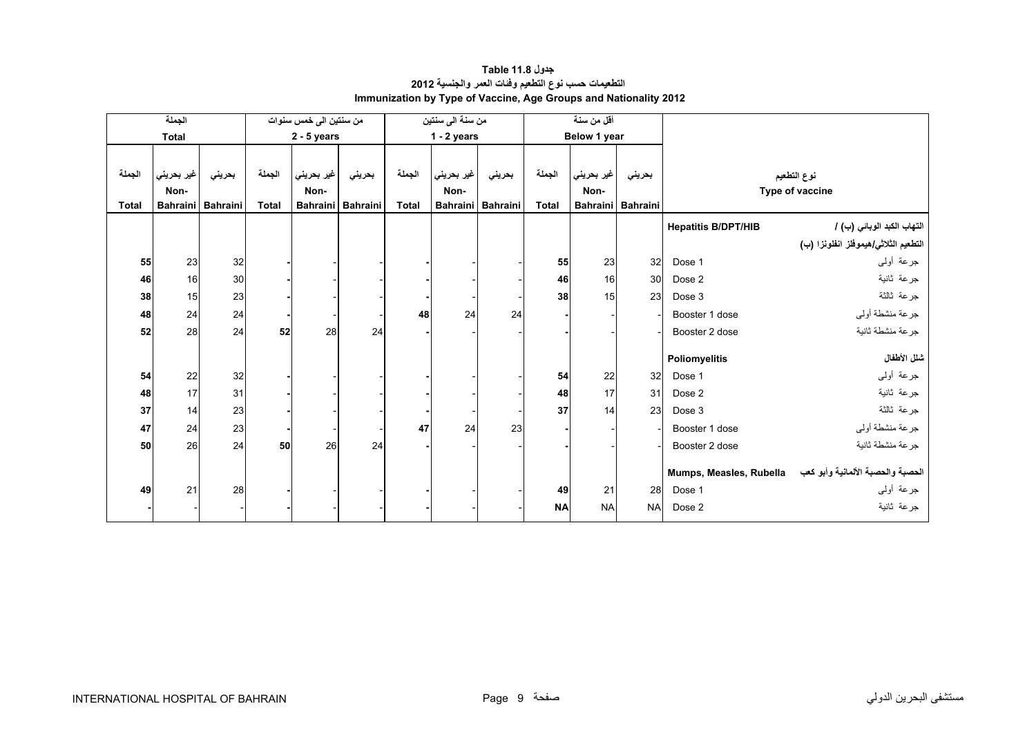<span id="page-7-0"></span>

|              | الجملة          |                 |              | من سنتين الى خمس سنوات |          |              | من سنة الى سنتين |                   | أقل من سنة   |                 |           |                            |                                                           |
|--------------|-----------------|-----------------|--------------|------------------------|----------|--------------|------------------|-------------------|--------------|-----------------|-----------|----------------------------|-----------------------------------------------------------|
|              | <b>Total</b>    |                 |              | $2 - 5$ years          |          |              | $1 - 2$ years    |                   |              | Below 1 year    |           |                            |                                                           |
|              |                 |                 |              |                        |          |              |                  |                   |              |                 |           |                            |                                                           |
| الجملة       | غير بحريني      | بحريني          | الجملة       | غير بحريني             | بحريني   | الجملة       | غير بحريني       | بحريني            | الجملة       | غير بحريني      | بحريني    |                            | نوع التطعيم                                               |
|              | Non-            |                 |              | Non-                   |          |              | Non-             |                   |              | Non-            |           |                            | Type of vaccine                                           |
| <b>Total</b> | <b>Bahraini</b> | <b>Bahraini</b> | <b>Total</b> | Bahraini               | Bahraini | <b>Total</b> |                  | Bahraini Bahraini | <b>Total</b> | <b>Bahraini</b> | Bahraini  |                            |                                                           |
|              |                 |                 |              |                        |          |              |                  |                   |              |                 |           | <b>Hepatitis B/DPT/HIB</b> | التهاب الكبد الوبائي (ب) /                                |
|              |                 |                 |              |                        |          |              |                  |                   |              |                 |           |                            | التطعيم الثلاثي/هيموفلز انفلونزا (ب)                      |
| 55           | 23              | 32              |              |                        |          |              |                  |                   | 55           | 23              | 32        | Dose 1                     | جرعة أولىي                                                |
| 46           | 16              | 30              |              |                        |          |              |                  |                   | 46           | 16              | 30        | Dose 2                     | جرعة ثانية                                                |
| 38           | 15              | 23              |              |                        |          |              |                  |                   | 38           | 15              | 23        | Dose 3                     | جرعة ثالثة                                                |
| 48           | 24              | 24              |              |                        |          | 48           | 24               | 24                |              |                 |           | Booster 1 dose             | جرعة منشطة أولى                                           |
| 52           | 28              | 24              | 52           | 28                     | 24       |              |                  |                   |              |                 |           | Booster 2 dose             | جر عة منشطة ثانبة                                         |
|              |                 |                 |              |                        |          |              |                  |                   |              |                 |           | Poliomyelitis              | شلل الأطفال                                               |
|              |                 |                 |              |                        |          |              |                  |                   |              |                 |           |                            |                                                           |
| 54           | 22              | 32              |              |                        |          |              |                  |                   | 54           | 22              | 32        | Dose 1                     | جرعة أولىي                                                |
| 48           | 17              | 31              |              |                        |          |              |                  |                   | 48           | 17              | 31        | Dose 2                     | جرعة ثانية                                                |
| 37           | 14              | 23              |              |                        |          |              |                  |                   | 37           | 14              | 23        | Dose 3                     | جرعة ثالثة                                                |
| 47           | 24              | 23              |              |                        |          | 47           | 24               | 23                |              |                 |           | Booster 1 dose             | جرعة منشطة أولى                                           |
| 50           | 26              | 24              | 50           | 26                     | 24       |              |                  |                   |              |                 |           | Booster 2 dose             | جرعة منشطة ثانية                                          |
|              |                 |                 |              |                        |          |              |                  |                   |              |                 |           |                            | الحصبة والحصبة الألمانية وأبو كعب Mumps, Measles, Rubella |
| 49           | 21              | 28              |              |                        |          |              |                  |                   | 49           | 21              | 28        | Dose 1                     | جرعة أولىي                                                |
|              |                 |                 |              |                        |          |              |                  |                   | <b>NA</b>    | <b>NA</b>       | <b>NA</b> | Dose 2                     | جرعة ثانية                                                |
|              |                 |                 |              |                        |          |              |                  |                   |              |                 |           |                            |                                                           |

#### **جدول 11.8 Table التطعيمات حسب نوع التطعيم وفئات العمر والجنسية <sup>2012</sup> Immunization by Type of Vaccine, Age Groups and Nationality 2012**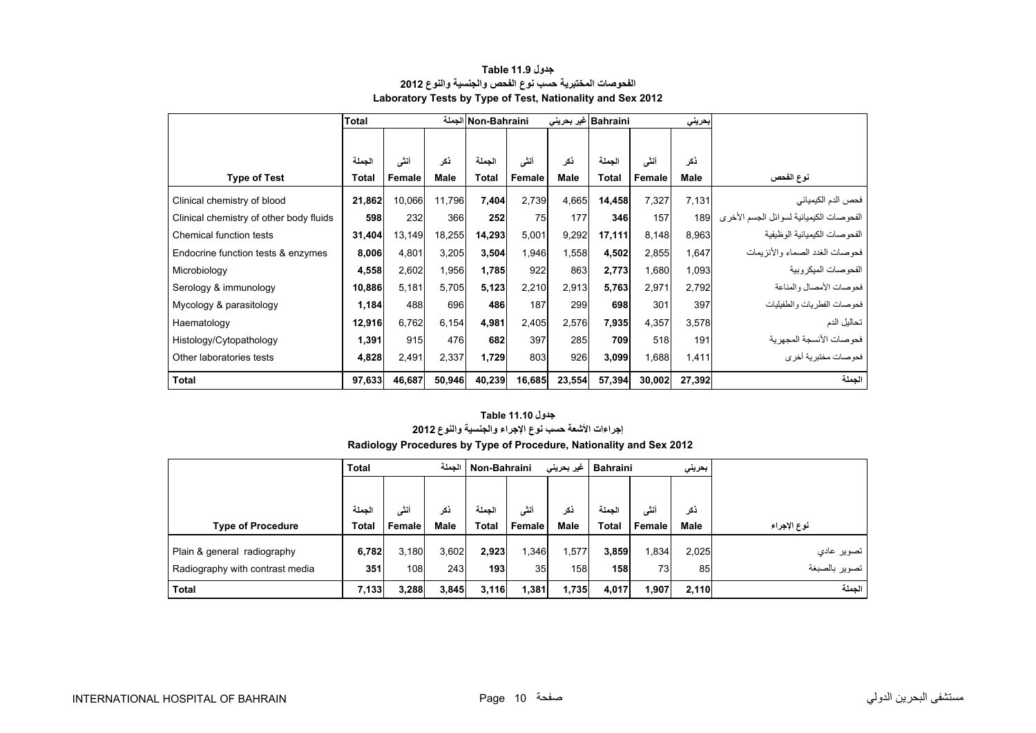<span id="page-8-0"></span>

|                                         | <b>Total</b> |        |        | Non-Bahraini الجملة |        |        | Bahraini غير بحريني |        | بحريني      |                                          |
|-----------------------------------------|--------------|--------|--------|---------------------|--------|--------|---------------------|--------|-------------|------------------------------------------|
|                                         |              |        |        |                     |        |        |                     |        |             |                                          |
|                                         | الجملة       | أنشى   | نكر    | الجملة              | أنشى   | ذكر    | الجملة              | أنشى   | ذكر         |                                          |
| <b>Type of Test</b>                     | <b>Total</b> | Female | Male   | <b>Total</b>        | Female | Male   | Total               | Female | <b>Male</b> | نوع الفحص                                |
| Clinical chemistry of blood             | 21,862       | 10.066 | 11.796 | 7,404               | 2,739  | 4,665  | 14,458              | 7,327  | 7,131       | فحص الدم الكيميائي                       |
| Clinical chemistry of other body fluids | 598          | 232    | 366    | 252                 | 75     | 177    | 346                 | 157    | 189         | الفحو صات الكيميائية لسوائل الجسم الأخرى |
| Chemical function tests                 | 31,404       | 13,149 | 18,255 | 14,293              | 5,001  | 9,292  | 17,111              | 8,148  | 8,963       | الفحو صبات الكيميائية الو ظيفية          |
| Endocrine function tests & enzymes      | 8,006        | 4,801  | 3,205  | 3,504               | 1,946  | 1,558  | 4,502               | 2,855  | 1,647       | فحو صات الغدد الصماء و الأنز يمات        |
| Microbiology                            | 4,558        | 2,602  | 1,956  | 1,785               | 922    | 863    | 2,773               | 1,680  | 1,093       | الفحوصات الميكروبية                      |
| Serology & immunology                   | 10,886       | 5,181  | 5,705  | 5,123               | 2,210  | 2,913  | 5,763               | 2,971  | 2,792       | فحوصات الأمصال والمناعة                  |
| Mycology & parasitology                 | 1,184        | 488    | 696    | 486                 | 187    | 299    | 698                 | 301    | 397         | فحوصات الفطريات والطفيليات               |
| Haematology                             | 12,916       | 6,762  | 6,154  | 4,981               | 2,405  | 2,576  | 7,935               | 4,357  | 3,578       | تحاليل الدم                              |
| Histology/Cytopathology                 | 1,391        | 915    | 476    | 682                 | 397    | 285    | 709                 | 518    | 191         | فحو صبات الأنسجة المجهر ية               |
| Other laboratories tests                | 4,828        | 2,491  | 2,337  | 1,729               | 803    | 926    | 3,099               | 1,688  | 1,411       | فحو صـات مختبر يـهّ أخر ي                |
| <b>Total</b>                            | 97,633       | 46,687 | 50,946 | 40,239              | 16,685 | 23,554 | 57,394              | 30,002 | 27,392      | الجملة                                   |

#### **جدول 11.9 Table الفحوصات المختبرية حسب نوع الفحص والجنسية والنوع <sup>2012</sup> Laboratory Tests by Type of Test, Nationality and Sex 2012**

#### **جدول 11.10 Table**

# **إجراءات األشعة حسب نوع اإلجراء والجنسية والنوع <sup>2012</sup>**

|                                 | <b>Total</b> |        | الحملة<br>Non-Bahraini |              |                 | غیر بحرینی | Bahraini<br>بحرينى |        |             |               |
|---------------------------------|--------------|--------|------------------------|--------------|-----------------|------------|--------------------|--------|-------------|---------------|
|                                 |              |        |                        |              |                 |            |                    |        |             |               |
|                                 | الحملة       | أنشى   | ذكر                    | الحملة       | أنثى            | ذكر        | الحملة             | أنشى   | ذكر         |               |
| <b>Type of Procedure</b>        | <b>Total</b> | Female | <b>Male</b>            | <b>Total</b> | Female          | Male       | <b>Total</b>       | Female | <b>Male</b> | نوع الإجراء   |
| Plain & general radiography     | 6,782        | 3.180  | 3,602                  | 2,923        | 1,346           | .577       | 3.859              | 1,834  | 2,025       | تصویر عادی    |
| Radiography with contrast media | 351          | 108    | 243                    | 193          | 35 <sub>1</sub> | 158        | 158                | 73     | 85          | تصوير بالصبغة |
| <b>Total</b>                    | 7,133        | 3,288  | 3,845                  | 3,116        | 1,381           | 1,735      | 4,017              | ,907   | 2,110       | الحملة        |

## **Radiology Procedures by Type of Procedure, Nationality and Sex 2012**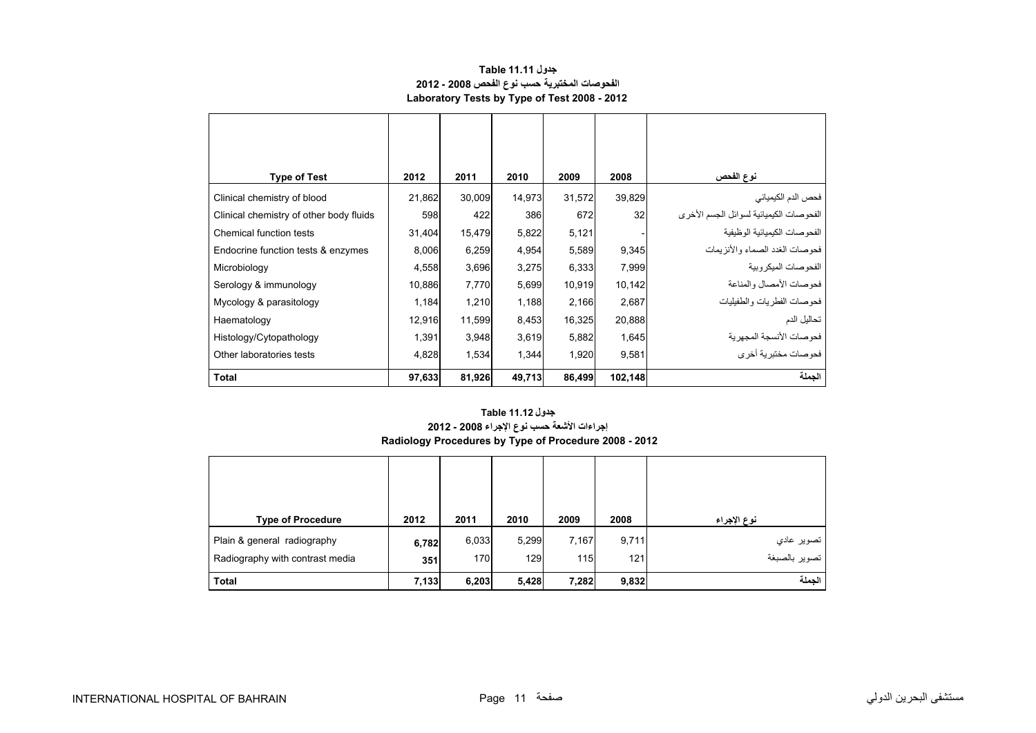#### **جدول 11.11 Table الفحوصات المختبرية حسب نوع الفحص 2008 - 2012 Laboratory Tests by Type of Test 2008 - 2012**

<span id="page-9-0"></span>

| <b>Type of Test</b>                     | 2012   | 2011   | 2010   | 2009   | 2008    | نوع الفحص                               |
|-----------------------------------------|--------|--------|--------|--------|---------|-----------------------------------------|
| Clinical chemistry of blood             | 21,862 | 30,009 | 14,973 | 31,572 | 39,829  | فحص الدم الكيميائي                      |
| Clinical chemistry of other body fluids | 598    | 422    | 386    | 672    | 32      | الفحوصات الكيميائية لسوائل الجسم الأخرى |
| Chemical function tests                 | 31,404 | 15,479 | 5,822  | 5,121  |         | الفحو صبات الكيميائية الو ظيفية         |
| Endocrine function tests & enzymes      | 8,006  | 6,259  | 4,954  | 5,589  | 9,345   | فحو صبات الغدد الصماء و الأنز بمات      |
| Microbiology                            | 4,558  | 3,696  | 3,275  | 6,333  | 7,999   | الفحو صبات الميكر وبية                  |
| Serology & immunology                   | 10,886 | 7,770  | 5,699  | 10,919 | 10,142  | فحو صات الأمصال والمناعة                |
| Mycology & parasitology                 | 1,184  | 1,210  | 1,188  | 2,166  | 2,687   | فحو صبات الفطر يات و الطفيليات          |
| Haematology                             | 12,916 | 11,599 | 8,453  | 16,325 | 20,888  | تحاليل الدم                             |
| Histology/Cytopathology                 | 1,391  | 3,948  | 3,619  | 5,882  | 1,645   | فحو صات الأنسجة المجهر ية               |
| Other laboratories tests                | 4,828  | 1,534  | 1,344  | 1,920  | 9,581   | فحوصات مختبرية أخرى                     |
| <b>Total</b>                            | 97,633 | 81,926 | 49,713 | 86,499 | 102,148 | الجملة                                  |

#### **إجراءات األشعة حسب نوع اإلجراء 2008 - 2012 Radiology Procedures by Type of Procedure 2008 - 2012 جدول 11.12 Table**

| <b>Type of Procedure</b>        | 2012  | 2011  | 2010  | 2009  | 2008  | نوع الإجراء                 |
|---------------------------------|-------|-------|-------|-------|-------|-----------------------------|
| Plain & general radiography     | 6,782 | 6,033 | 5,299 | 7,167 | 9,711 | تصوير عادي<br>نصوير بالصبغة |
| Radiography with contrast media | 351   | 170   | 129   | 115   | 121   |                             |
| <b>Total</b>                    | 7,133 | 6,203 | 5,428 | 7,282 | 9,832 | الجملة                      |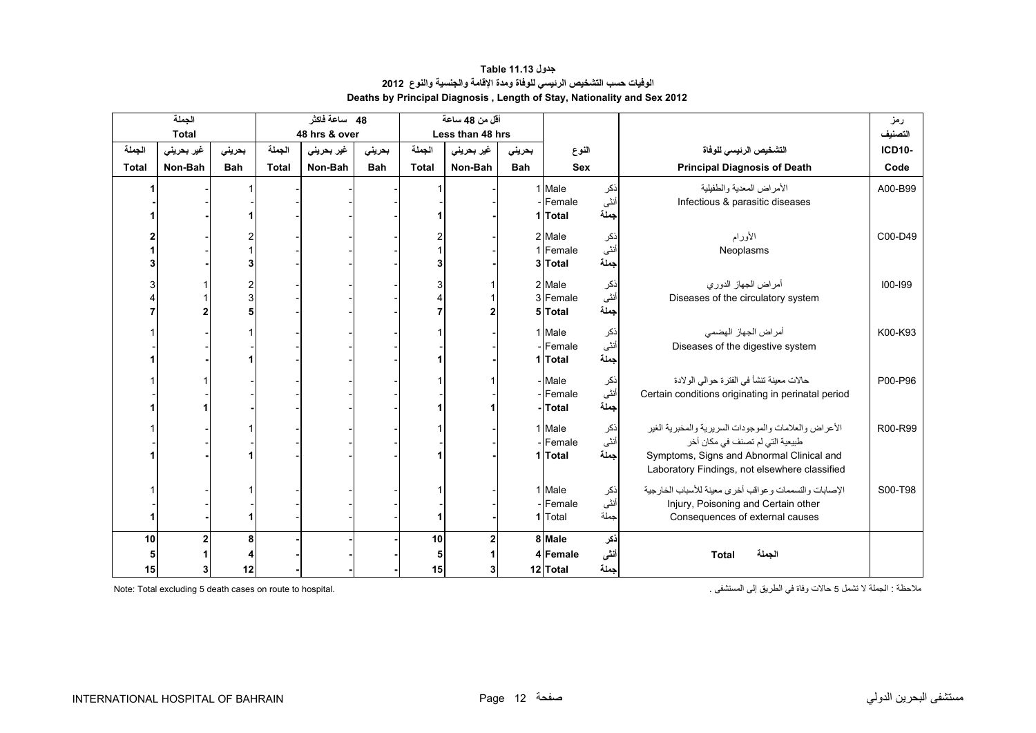#### **جدول 11.13 Table الوفيات حسب التشخيص الرئيسي للوفاة ومدة اإلقامة والجنسية والنوع<sup>2012</sup> Deaths by Principal Diagnosis , Length of Stay, Nationality and Sex 2012**

<span id="page-10-0"></span>

| الجملة       |              |            | 48 ساعة فاكثر |               | أقل من 48 ساعة |              |                  |            |            |      | رمز                                                   |               |
|--------------|--------------|------------|---------------|---------------|----------------|--------------|------------------|------------|------------|------|-------------------------------------------------------|---------------|
|              | <b>Total</b> |            |               | 48 hrs & over |                |              | Less than 48 hrs |            |            |      |                                                       | التصنيف       |
| الجملة       | غير بحريني   | بحرينى     | الجملة        | غير بحريني    | بحرينى         | الجملة       | غير بحريني       | بحرينى     | النوع      |      | التشخيص الرئيسى للوفاة                                | <b>ICD10-</b> |
| <b>Total</b> | Non-Bah      | <b>Bah</b> | <b>Total</b>  | Non-Bah       | <b>Bah</b>     | <b>Total</b> | Non-Bah          | <b>Bah</b> | <b>Sex</b> |      | <b>Principal Diagnosis of Death</b>                   | Code          |
|              |              |            |               |               |                |              |                  |            | 1 Male     | نكر  | الأمراض المعدية والطفيلية                             | A00-B99       |
|              |              |            |               |               |                |              |                  |            | - Female   | أنثى | Infectious & parasitic diseases                       |               |
|              |              |            |               |               |                |              |                  |            | 1 Total    | جملة |                                                       |               |
|              |              |            |               |               |                |              |                  |            | 2 Male     | نكر  | الأورام                                               | C00-D49       |
|              |              |            |               |               |                |              |                  |            | 1 Female   | أنثى | Neoplasms                                             |               |
|              |              |            |               |               |                |              |                  |            | 3 Total    | جملة |                                                       |               |
|              |              |            |               |               |                |              |                  |            | 2 Male     | نكر  | أمراض الجهاز الدوري                                   | $100 - 199$   |
|              |              |            |               |               |                |              |                  |            | 3 Female   | أنثى | Diseases of the circulatory system                    |               |
|              |              |            |               |               |                |              |                  |            | 5 Total    | جملة |                                                       |               |
|              |              |            |               |               |                |              |                  |            |            |      |                                                       |               |
|              |              |            |               |               |                |              |                  |            | 1 Male     | ذكر  | أمراض الجهاز الهضمى                                   | K00-K93       |
|              |              |            |               |               |                |              |                  |            | - Female   | أنثى | Diseases of the digestive system                      |               |
|              |              |            |               |               |                |              |                  |            | 1 Total    | جملة |                                                       |               |
|              |              |            |               |               |                |              |                  |            | - Male     | ذكر  | حالات معينة تنشأ في الفترة حوالى الولادة              | P00-P96       |
|              |              |            |               |               |                |              |                  |            | - Female   | أنثى | Certain conditions originating in perinatal period    |               |
|              |              |            |               |               |                |              |                  |            | -Total     | جملة |                                                       |               |
|              |              |            |               |               |                |              |                  |            | 1 Male     | نكر  | الأعراض والعلامات والموجودات السريرية والمخبرية الغير | R00-R99       |
|              |              |            |               |               |                |              |                  |            | - Female   | أنثى | طبيعية التي لم تصنف في مكان آخر                       |               |
|              |              |            |               |               |                |              |                  |            | 1 Total    | جملة | Symptoms, Signs and Abnormal Clinical and             |               |
|              |              |            |               |               |                |              |                  |            |            |      | Laboratory Findings, not elsewhere classified         |               |
|              |              |            |               |               |                |              |                  |            | 1 Male     | نكر  | الإصابات والتسممات وعواقب أخرى معينة للأسباب الخارجية | S00-T98       |
|              |              |            |               |               |                |              |                  |            | - Female   | أنثى | Injury, Poisoning and Certain other                   |               |
|              |              |            |               |               |                |              |                  |            | 1 Total    | جملة | Consequences of external causes                       |               |
|              |              |            |               |               |                |              |                  |            |            |      |                                                       |               |
| 10           | 2            | 8          |               |               |                | 10           | $\overline{2}$   |            | 8 Male     | نكر  |                                                       |               |
| 5            |              |            |               |               |                | 5            |                  |            | 4 Female   | أنشى | الجملة<br><b>Total</b>                                |               |
| 15           |              | 12         |               |               |                | 15           | 3                |            | 12 Total   | جملة |                                                       |               |

Note: Total excluding 5 death cases on route to hospital.

مالحظة : الجملة ال تشمل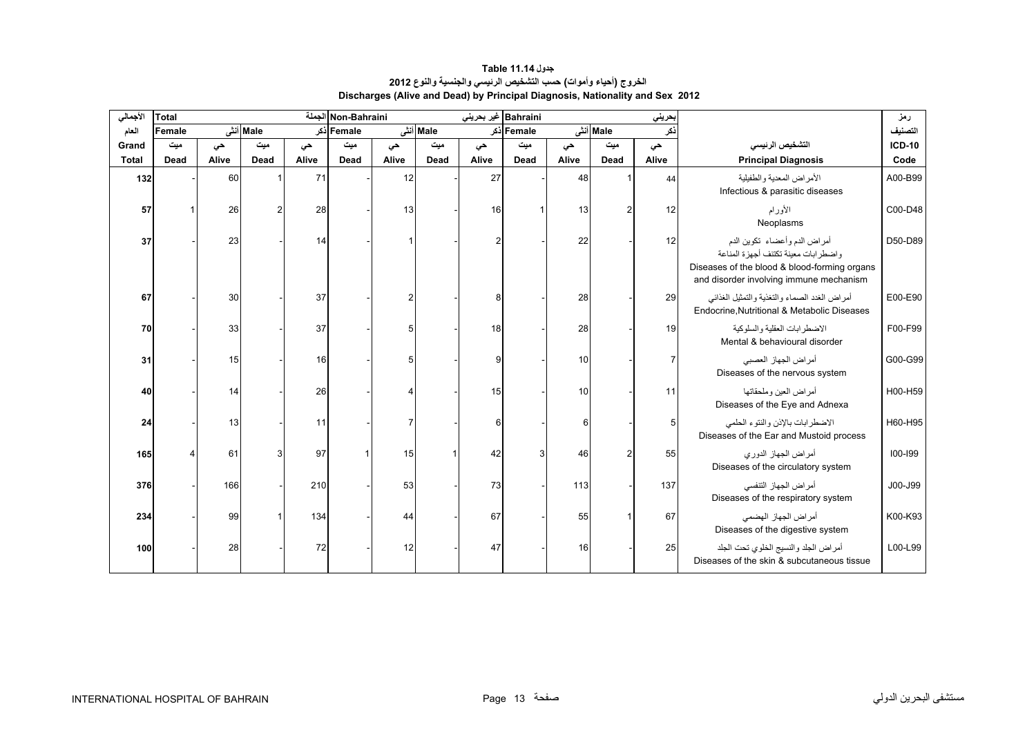#### **جدول 11.14 Table الخروج (أحياء وأموات) حسب التشخيص الرئيسي والجنسية والنوع <sup>2012</sup> Discharges (Alive and Dead) by Principal Diagnosis, Nationality and Sex 2012**

<span id="page-11-0"></span>

| الأجمالي     | Total  |       |           |       | Non-Bahraini الجملة |       |          | Bahraini غير بحريني |            |       |          | بحريني         |                                                                                                                                                                | رمز           |
|--------------|--------|-------|-----------|-------|---------------------|-------|----------|---------------------|------------|-------|----------|----------------|----------------------------------------------------------------------------------------------------------------------------------------------------------------|---------------|
| العام        | Female |       | Male أنشى |       | Female أذكر         |       | Male أنش |                     | Female ذکر |       | Male أنش | ذكر            |                                                                                                                                                                | التصنيف       |
| Grand        | میت    | حى    | میت       | حى    | میت                 | حي    | ميت      | حى                  | میت        | حى    | میت      | حى             | التشخيص الرئيسى                                                                                                                                                | <b>ICD-10</b> |
| <b>Total</b> | Dead   | Alive | Dead      | Alive | Dead                | Alive | Dead     | Alive               | Dead       | Alive | Dead     | Alive          | <b>Principal Diagnosis</b>                                                                                                                                     | Code          |
| 132          |        | 60    |           | 71    |                     | 12    |          | 27                  |            | 48    |          | 44             | الأمر اض المعدية و الطفيلية<br>Infectious & parasitic diseases                                                                                                 | A00-B99       |
| 57           |        | 26    |           | 28    |                     | 13    |          | 16                  |            | 13    | 2        | 12             | الأورام<br>Neoplasms                                                                                                                                           | C00-D48       |
| 37           |        | 23    |           | 14    |                     |       |          | 2                   |            | 22    |          | 12             | أمراض الدم وأعضاء تكوين الدم<br>واضطرابات معينة تكتنف أجهزة المناعة<br>Diseases of the blood & blood-forming organs<br>and disorder involving immune mechanism | D50-D89       |
| 67           |        | 30    |           | 37    |                     |       |          | 8                   |            | 28    |          | 29             | أمراض الغدد الصماء والتغذية والتمثيل الغذائبي<br>Endocrine, Nutritional & Metabolic Diseases                                                                   | E00-E90       |
| 70           |        | 33    |           | 37    |                     | 5     |          | 18                  |            | 28    |          | 19             | الاضطرابات العقلية والسلوكية<br>Mental & behavioural disorder                                                                                                  | F00-F99       |
| 31           |        | 15    |           | 16    |                     | 5     |          | 9                   |            | 10    |          | $\overline{7}$ | أمراض الجهاز العصبي<br>Diseases of the nervous system                                                                                                          | G00-G99       |
| 40           |        | 14    |           | 26    |                     |       |          | 15                  |            | 10    |          | 11             | أمر اض العين وملحقاتها<br>Diseases of the Eye and Adnexa                                                                                                       | H00-H59       |
| 24           |        | 13    |           | 11    |                     |       |          | 6                   |            | 6     |          | 5              | الاضطرابات بالإذن والنتوء الحلمي<br>Diseases of the Ear and Mustoid process                                                                                    | H60-H95       |
| 165          |        | 61    |           | 97    |                     | 15    |          | 42                  | 3          | 46    |          | 55             | أمراض الجهاز الدوري<br>Diseases of the circulatory system                                                                                                      | 100-199       |
| 376          |        | 166   |           | 210   |                     | 53    |          | 73                  |            | 113   |          | 137            | أمراض الجهاز التنفسي<br>Diseases of the respiratory system                                                                                                     | J00-J99       |
| 234          |        | 99    |           | 134   |                     | 44    |          | 67                  |            | 55    |          | 67             | أمر اض الجهاز الهضمي<br>Diseases of the digestive system                                                                                                       | K00-K93       |
| 100          |        | 28    |           | 72    |                     | 12    |          | 47                  |            | 16    |          | 25             | أمراض الجلد والنسيج الخلوى تحت الجلد<br>Diseases of the skin & subcutaneous tissue                                                                             | L00-L99       |